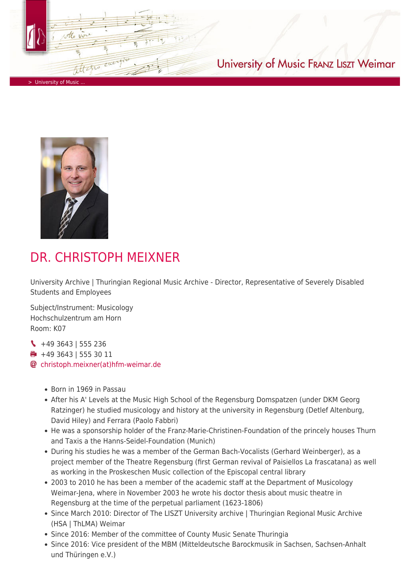

> University of Music

## University of Music FRANZ LISZT Weimar



## DR. CHRISTOPH MEIXNER

University Archive | Thuringian Regional Music Archive - Director, Representative of Severely Disabled Students and Employees

Subject/Instrument: Musicology Hochschulzentrum am Horn Room: K07

+49 3643 | 555 236 +49 3643 | 555 30 11 [christoph.meixner\(at\)hfm-weimar.de](https://www.hfm-weimar.de/javascript:linkTo_UnCryptMailto()

- Born in 1969 in Passau
- After his A' Levels at the Music High School of the Regensburg Domspatzen (under DKM Georg Ratzinger) he studied musicology and history at the university in Regensburg (Detlef Altenburg, David Hiley) and Ferrara (Paolo Fabbri)
- He was a sponsorship holder of the Franz-Marie-Christinen-Foundation of the princely houses Thurn and Taxis a the Hanns-Seidel-Foundation (Munich)
- During his studies he was a member of the German Bach-Vocalists (Gerhard Weinberger), as a project member of the Theatre Regensburg (first German revival of Paisiellos La frascatana) as well as working in the Proskeschen Music collection of the Episcopal central library
- 2003 to 2010 he has been a member of the academic staff at the Department of Musicology Weimar-Jena, where in November 2003 he wrote his doctor thesis about music theatre in Regensburg at the time of the perpetual parliament (1623-1806)
- Since March 2010: Director of The LISZT University archive | Thuringian Regional Music Archive (HSA | ThLMA) Weimar
- Since 2016: Member of the committee of County Music Senate Thuringia
- Since 2016: Vice president of the MBM (Mitteldeutsche Barockmusik in Sachsen, Sachsen-Anhalt und Thüringen e.V.)